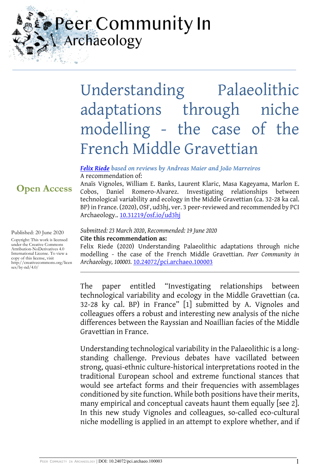## Peer Community In Archaeology

# Understanding Palaeolithic adaptations through niche modelling - the case of the French Middle Gravettian

Anaïs Vignoles, William E. Banks, Laurent Klaric, Masa Kageyama, Marlon E. Cobos, Daniel Romero-Alvarez. Investigating relationships between technological variability and ecology in the Middle Gravettian (ca. 32-28 ka cal. BP) in France. (2020), OSF, ud3hj, ver. 3 peer-reviewed and recommended by PCI

#### *[Felix Riede](https://archaeo.peercommunityin.org/public/viewUserCard?userId=25) based on reviews by Andreas Maier and João Marreiros* A recommendation of:

## **Open Access**

Published: 20 June 2020

Copyright: This work is licensed under the Creative Commons Attribution-NoDerivatives 4.0 International License. To view a copy of this license, visit http://creativecommons.org/licen ses/by-nd/4.0/

#### *Submitted: 23 March 2020*, *Recommended: 19 June 2020* **Cite this recommendation as:**

Archaeology.. [10.31219/osf.io/ud3hj](https://doi.org/10.31219/osf.io/ud3hj)

Felix Riede (2020) Understanding Palaeolithic adaptations through niche modelling - the case of the French Middle Gravettian. *Peer Community in Archaeology, 100003.* [10.24072/pci.archaeo.100003](https://doi.org/10.24072/pci.archaeo.100003)

The paper entitled "Investigating relationships between technological variability and ecology in the Middle Gravettian (ca. 32-28 ky cal. BP) in France" [1] submitted by A. Vignoles and colleagues offers a robust and interesting new analysis of the niche differences between the Rayssian and Noaillian facies of the Middle Gravettian in France.

Understanding technological variability in the Palaeolithic is a longstanding challenge. Previous debates have vacillated between strong, quasi-ethnic culture-historical interpretations rooted in the traditional European school and extreme functional stances that would see artefact forms and their frequencies with assemblages conditioned by site function. While both positions have their merits, many empirical and conceptual caveats haunt them equally [see 2]. In this new study Vignoles and colleagues, so-called eco-cultural niche modelling is applied in an attempt to explore whether, and if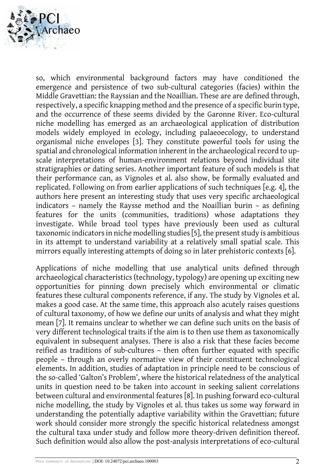

so, which environmental background factors may have conditioned the emergence and persistence of two sub-cultural categories (facies) within the Middle Gravettian: the Rayssian and the Noaillian. These are are defined through, respectively, a specific knapping method and the presence of a specific burin type, and the occurrence of these seems divided by the Garonne River. Eco-cultural niche modelling has emerged as an archaeological application of distribution models widely employed in ecology, including palaeoecology, to understand organismal niche envelopes [3]. They constitute powerful tools for using the spatial and chronological information inherent in the archaeological record to upscale interpretations of human-environment relations beyond individual site stratigraphies or dating series. Another important feature of such models is that their performance can, as Vignoles et al. also show, be formally evaluated and replicated. Following on from earlier applications of such techniques [e.g. 4], the authors here present an interesting study that uses very specific archaeological indicators – namely the Raysse method and the Noaillian burin – as defining features for the units (communities, traditions) whose adaptations they investigate. While broad tool types have previously been used as cultural taxonomic indicators in niche modelling studies [5], the present study is ambitious in its attempt to understand variability at a relatively small spatial scale. This mirrors equally interesting attempts of doing so in later prehistoric contexts [6].

Applications of niche modelling that use analytical units defined through archaeological characteristics (technology, typology) are opening up exciting new opportunities for pinning down precisely which environmental or climatic features these cultural components reference, if any. The study by Vignoles et al. makes a good case. At the same time, this approach also acutely raises questions of cultural taxonomy, of how we define our units of analysis and what they might mean [7]. It remains unclear to whether we can define such units on the basis of very different technological traits if the aim is to then use them as taxonomically equivalent in subsequent analyses. There is also a risk that these facies become reified as traditions of sub-cultures – then often further equated with specific people – through an overly normative view of their constituent technological elements. In addition, studies of adaptation in principle need to be conscious of the so-called 'Galton's Problem', where the historical relatedness of the analytical units in question need to be taken into account in seeking salient correlations between cultural and environmental features [8]. In pushing forward eco-cultural niche modelling, the study by Vignoles et al. thus takes us some way forward in understanding the potentially adaptive variability within the Gravettian; future work should consider more strongly the specific historical relatedness amongst the cultural taxa under study and follow more theory-driven definition thereof. Such definition would also allow the post-analysis interpretations of eco-cultural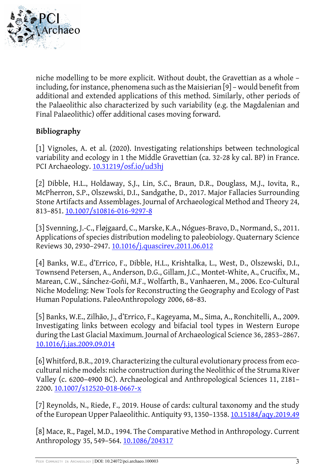

niche modelling to be more explicit. Without doubt, the Gravettian as a whole – including, for instance, phenomena such as the Maisierian [9] – would benefit from additional and extended applications of this method. Similarly, other periods of the Palaeolithic also characterized by such variability (e.g. the Magdalenian and Final Palaeolithic) offer additional cases moving forward.

### **Bibliography**

[1] Vignoles, A. et al. (2020). Investigating relationships between technological variability and ecology in 1 the Middle Gravettian (ca. 32-28 ky cal. BP) in France. PCI Archaeology. [10.31219/osf.io/ud3hj](https://doi.org/10.31219/osf.io/ud3hj)

[2] Dibble, H.L., Holdaway, S.J., Lin, S.C., Braun, D.R., Douglass, M.J., Iovita, R., McPherron, S.P., Olszewski, D.I., Sandgathe, D., 2017. Major Fallacies Surrounding Stone Artifacts and Assemblages. Journal of Archaeological Method and Theory 24, 813–851. [10.1007/s10816-016-9297-8](https://doi.org/10.1007/s10816-016-9297-8)

[3] Svenning, J.-C., Fløjgaard, C., Marske, K.A., Nógues-Bravo, D., Normand, S., 2011. Applications of species distribution modeling to paleobiology. Quaternary Science Reviews 30, 2930–2947. [10.1016/j.quascirev.2011.06.012](http://dx.doi.org/10.1016/j.quascirev.2011.06.012)

[4] Banks, W.E., d'Errico, F., Dibble, H.L., Krishtalka, L., West, D., Olszewski, D.I., Townsend Petersen, A., Anderson, D.G., Gillam, J.C., Montet-White, A., Crucifix, M., Marean, C.W., Sánchez-Goñi, M.F., Wolfarth, B., Vanhaeren, M., 2006. Eco-Cultural Niche Modeling: New Tools for Reconstructing the Geography and Ecology of Past Human Populations. PaleoAnthropology 2006, 68–83.

[5] Banks, W.E., Zilhão, J., d'Errico, F., Kageyama, M., Sima, A., Ronchitelli, A., 2009. Investigating links between ecology and bifacial tool types in Western Europe during the Last Glacial Maximum. Journal of Archaeological Science 36, 2853–2867. [10.1016/j.jas.2009.09.014](https://doi.org/10.1016/j.jas.2009.09.014)

[6] Whitford, B.R., 2019. Characterizing the cultural evolutionary process from ecocultural niche models: niche construction during the Neolithic of the Struma River Valley (c. 6200–4900 BC). Archaeological and Anthropological Sciences 11, 2181– 2200. [10.1007/s12520-018-0667-x](https://doi.org/10.1007/s12520-018-0667-x)

[7] Reynolds, N., Riede, F., 2019. House of cards: cultural taxonomy and the study of the European Upper Palaeolithic. Antiquity 93, 1350–1358. [10.15184/aqy.2019.49](https://doi.org/10.15184/aqy.2019.49)

[8] Mace, R., Pagel, M.D., 1994. The Comparative Method in Anthropology. Current Anthropology 35, 549–564. [10.1086/204317](https://doi.org/10.1086/204317)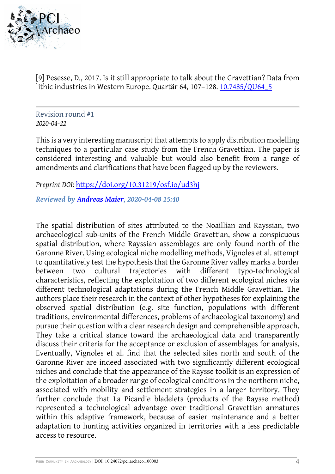

[9] Pesesse, D., 2017. Is it still appropriate to talk about the Gravettian? Data from lithic industries in Western Europe. Quartär 64, 107–128. [10.7485/QU64\\_5](https://doi.org/10.7485/QU64_5)

Revision round #1 *2020-04-22* 

This is a very interesting manuscript that attempts to apply distribution modelling techniques to a particular case study from the French Gravettian. The paper is considered interesting and valuable but would also benefit from a range of amendments and clarifications that have been flagged up by the reviewers.

*Preprint DOI:* <https://doi.org/10.31219/osf.io/ud3hj>

*Reviewed by [Andreas Maier,](https://archaeo.peercommunityin.org/public/viewUserCard?userId=94) 2020-04-08 15:40*

The spatial distribution of sites attributed to the Noaillian and Rayssian, two archaeological sub-units of the French Middle Gravettian, show a conspicuous spatial distribution, where Rayssian assemblages are only found north of the Garonne River. Using ecological niche modelling methods, Vignoles et al. attempt to quantitatively test the hypothesis that the Garonne River valley marks a border between two cultural trajectories with different typo-technological characteristics, reflecting the exploitation of two different ecological niches via different technological adaptations during the French Middle Gravettian. The authors place their research in the context of other hypotheses for explaining the observed spatial distribution (e.g. site function, populations with different traditions, environmental differences, problems of archaeological taxonomy) and pursue their question with a clear research design and comprehensible approach. They take a critical stance toward the archaeological data and transparently discuss their criteria for the acceptance or exclusion of assemblages for analysis. Eventually, Vignoles et al. find that the selected sites north and south of the Garonne River are indeed associated with two significantly different ecological niches and conclude that the appearance of the Raysse toolkit is an expression of the exploitation of a broader range of ecological conditions in the northern niche, associated with mobility and settlement strategies in a larger territory. They further conclude that La Picardie bladelets (products of the Raysse method) represented a technological advantage over traditional Gravettian armatures within this adaptive framework, because of easier maintenance and a better adaptation to hunting activities organized in territories with a less predictable access to resource.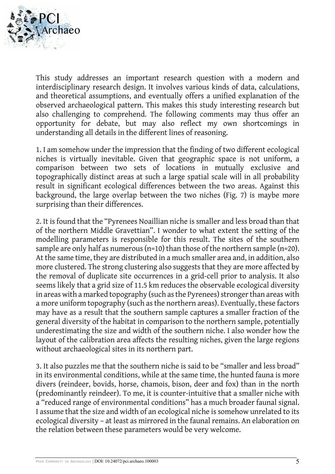

This study addresses an important research question with a modern and interdisciplinary research design. It involves various kinds of data, calculations, and theoretical assumptions, and eventually offers a unified explanation of the observed archaeological pattern. This makes this study interesting research but also challenging to comprehend. The following comments may thus offer an opportunity for debate, but may also reflect my own shortcomings in understanding all details in the different lines of reasoning.

1. I am somehow under the impression that the finding of two different ecological niches is virtually inevitable. Given that geographic space is not uniform, a comparison between two sets of locations in mutually exclusive and topographically distinct areas at such a large spatial scale will in all probability result in significant ecological differences between the two areas. Against this background, the large overlap between the two niches (Fig. 7) is maybe more surprising than their differences.

2. It is found that the "Pyrenees Noaillian niche is smaller and less broad than that of the northern Middle Gravettian". I wonder to what extent the setting of the modelling parameters is responsible for this result. The sites of the southern sample are only half as numerous (n=10) than those of the northern sample (n=20). At the same time, they are distributed in a much smaller area and, in addition, also more clustered. The strong clustering also suggests that they are more affected by the removal of duplicate site occurrences in a grid-cell prior to analysis. It also seems likely that a grid size of 11.5 km reduces the observable ecological diversity in areas with a marked topography (such as the Pyrenees) stronger than areas with a more uniform topography (such as the northern areas). Eventually, these factors may have as a result that the southern sample captures a smaller fraction of the general diversity of the habitat in comparison to the northern sample, potentially underestimating the size and width of the southern niche. I also wonder how the layout of the calibration area affects the resulting niches, given the large regions without archaeological sites in its northern part.

3. It also puzzles me that the southern niche is said to be "smaller and less broad" in its environmental conditions, while at the same time, the hunted fauna is more divers (reindeer, bovids, horse, chamois, bison, deer and fox) than in the north (predominantly reindeer). To me, it is counter-intuitive that a smaller niche with a "reduced range of environmental conditions" has a much broader faunal signal. I assume that the size and width of an ecological niche is somehow unrelated to its ecological diversity – at least as mirrored in the faunal remains. An elaboration on the relation between these parameters would be very welcome.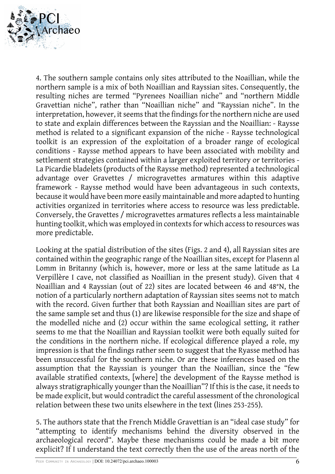

4. The southern sample contains only sites attributed to the Noaillian, while the northern sample is a mix of both Noaillian and Rayssian sites. Consequently, the resulting niches are termed "Pyrenees Noaillian niche" and "northern Middle Gravettian niche", rather than "Noaillian niche" and "Rayssian niche". In the interpretation, however, it seems that the findings for the northern niche are used to state and explain differences between the Rayssian and the Noaillian: - Raysse method is related to a significant expansion of the niche - Raysse technological toolkit is an expression of the exploitation of a broader range of ecological conditions - Raysse method appears to have been associated with mobility and settlement strategies contained within a larger exploited territory or territories - La Picardie bladelets (products of the Raysse method) represented a technological advantage over Gravettes / microgravettes armatures within this adaptive framework - Raysse method would have been advantageous in such contexts, because it would have been more easily maintainable and more adapted to hunting activities organized in territories where access to resource was less predictable. Conversely, the Gravettes / microgravettes armatures reflects a less maintainable hunting toolkit, which was employed in contexts for which access to resources was more predictable.

Looking at the spatial distribution of the sites (Figs. 2 and 4), all Rayssian sites are contained within the geographic range of the Noaillian sites, except for Plasenn al Lomm in Britanny (which is, however, more or less at the same latitude as La Verpillère I cave, not classified as Noaillian in the present study). Given that 4 Noaillian and 4 Rayssian (out of 22) sites are located between 46 and 48°N, the notion of a particularly northern adaptation of Rayssian sites seems not to match with the record. Given further that both Rayssian and Noaillian sites are part of the same sample set and thus (1) are likewise responsible for the size and shape of the modelled niche and (2) occur within the same ecological setting, it rather seems to me that the Noaillian and Rayssian toolkit were both equally suited for the conditions in the northern niche. If ecological difference played a role, my impression is that the findings rather seem to suggest that the Ryasse method has been unsuccessful for the southern niche. Or are these inferences based on the assumption that the Rayssian is younger than the Noaillian, since the "few available stratified contexts, [where] the development of the Raysse method is always stratigraphically younger than the Noaillian"? If this is the case, it needs to be made explicit, but would contradict the careful assessment of the chronological relation between these two units elsewhere in the text (lines 253-255).

5. The authors state that the French Middle Gravettian is an "ideal case study" for "attempting to identify mechanisms behind the diversity observed in the archaeological record". Maybe these mechanisms could be made a bit more explicit? If I understand the text correctly then the use of the areas north of the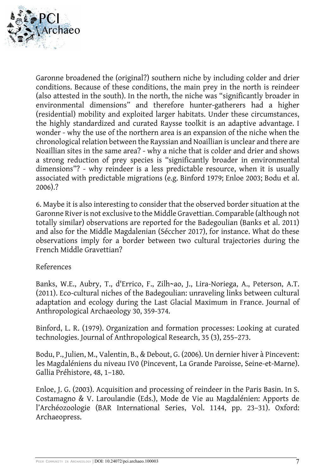

Garonne broadened the (original?) southern niche by including colder and drier conditions. Because of these conditions, the main prey in the north is reindeer (also attested in the south). In the north, the niche was "significantly broader in environmental dimensions" and therefore hunter-gatherers had a higher (residential) mobility and exploited larger habitats. Under these circumstances, the highly standardized and curated Raysse toolkit is an adaptive advantage. I wonder - why the use of the northern area is an expansion of the niche when the chronological relation between the Rayssian and Noaillian is unclear and there are Noaillian sites in the same area? - why a niche that is colder and drier and shows a strong reduction of prey species is "significantly broader in environmental dimensions"? - why reindeer is a less predictable resource, when it is usually associated with predictable migrations (e.g. Binford 1979; Enloe 2003; Bodu et al. 2006).?

6. Maybe it is also interesting to consider that the observed border situation at the Garonne River is not exclusive to the Middle Gravettian. Comparable (although not totally similar) observations are reported for the Badegoulian (Banks et al. 2011) and also for the Middle Magdalenian (Séccher 2017), for instance. What do these observations imply for a border between two cultural trajectories during the French Middle Gravettian?

#### References

Banks, W.E., Aubry, T., d'Errico, F., Zilh~ao, J., Lira-Noriega, A., Peterson, A.T. (2011). Eco-cultural niches of the Badegoulian: unraveling links between cultural adaptation and ecology during the Last Glacial Maximum in France. Journal of Anthropological Archaeology 30, 359-374.

Binford, L. R. (1979). Organization and formation processes: Looking at curated technologies. Journal of Anthropological Research, 35 (3), 255–273.

Bodu, P., Julien, M., Valentin, B., & Debout, G. (2006). Un dernier hiver à Pincevent: les Magdaléniens du niveau IV0 (Pincevent, La Grande Paroisse, Seine-et-Marne). Gallia Préhistore, 48, 1–180.

Enloe, J. G. (2003). Acquisition and processing of reindeer in the Paris Basin. In S. Costamagno & V. Laroulandie (Eds.), Mode de Vie au Magdalénien: Apports de l'Archéozoologie (BAR International Series, Vol. 1144, pp. 23–31). Oxford: Archaeopress.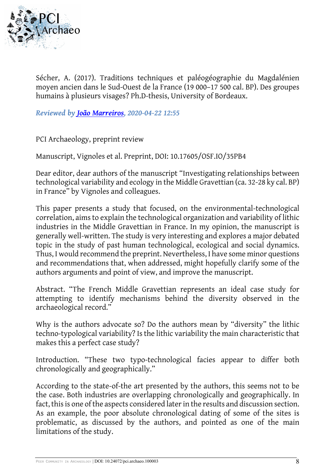

Sécher, A. (2017). Traditions techniques et paléogéographie du Magdalénien moyen ancien dans le Sud-Ouest de la France (19 000–17 500 cal. BP). Des groupes humains à plusieurs visages? Ph.D-thesis, University of Bordeaux.

*Reviewed by [João Marreiros,](https://archaeo.peercommunityin.org/public/viewUserCard?userId=96) 2020-04-22 12:55*

PCI Archaeology, preprint review

Manuscript, Vignoles et al. Preprint, DOI: 10.17605/OSF.IO/35PB4

Dear editor, dear authors of the manuscript "Investigating relationships between technological variability and ecology in the Middle Gravettian (ca. 32-28 ky cal. BP) in France" by Vignoles and colleagues.

This paper presents a study that focused, on the environmental-technological correlation, aims to explain the technological organization and variability of lithic industries in the Middle Gravettian in France. In my opinion, the manuscript is generally well-written. The study is very interesting and explores a major debated topic in the study of past human technological, ecological and social dynamics. Thus, I would recommend the preprint. Nevertheless, I have some minor questions and recommendations that, when addressed, might hopefully clarify some of the authors arguments and point of view, and improve the manuscript.

Abstract. "The French Middle Gravettian represents an ideal case study for attempting to identify mechanisms behind the diversity observed in the archaeological record."

Why is the authors advocate so? Do the authors mean by "diversity" the lithic techno-typological variability? Is the lithic variability the main characteristic that makes this a perfect case study?

Introduction. "These two typo-technological facies appear to differ both chronologically and geographically."

According to the state-of-the art presented by the authors, this seems not to be the case. Both industries are overlapping chronologically and geographically. In fact, this is one of the aspects considered later in the results and discussion section. As an example, the poor absolute chronological dating of some of the sites is problematic, as discussed by the authors, and pointed as one of the main limitations of the study.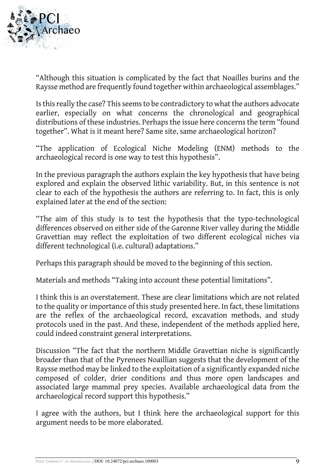

"Although this situation is complicated by the fact that Noailles burins and the Raysse method are frequently found together within archaeological assemblages."

Is this really the case? This seems to be contradictory to what the authors advocate earlier, especially on what concerns the chronological and geographical distributions of these industries. Perhaps the issue here concerns the term "found together". What is it meant here? Same site, same archaeological horizon?

"The application of Ecological Niche Modeling (ENM) methods to the archaeological record is one way to test this hypothesis".

In the previous paragraph the authors explain the key hypothesis that have being explored and explain the observed lithic variability. But, in this sentence is not clear to each of the hypothesis the authors are referring to. In fact, this is only explained later at the end of the section:

"The aim of this study is to test the hypothesis that the typo-technological differences observed on either side of the Garonne River valley during the Middle Gravettian may reflect the exploitation of two different ecological niches via different technological (i.e. cultural) adaptations."

Perhaps this paragraph should be moved to the beginning of this section.

Materials and methods "Taking into account these potential limitations".

I think this is an overstatement. These are clear limitations which are not related to the quality or importance of this study presented here. In fact, these limitations are the reflex of the archaeological record, excavation methods, and study protocols used in the past. And these, independent of the methods applied here, could indeed constraint general interpretations.

Discussion "The fact that the northern Middle Gravettian niche is significantly broader than that of the Pyrenees Noaillian suggests that the development of the Raysse method may be linked to the exploitation of a significantly expanded niche composed of colder, drier conditions and thus more open landscapes and associated large mammal prey species. Available archaeological data from the archaeological record support this hypothesis."

I agree with the authors, but I think here the archaeological support for this argument needs to be more elaborated.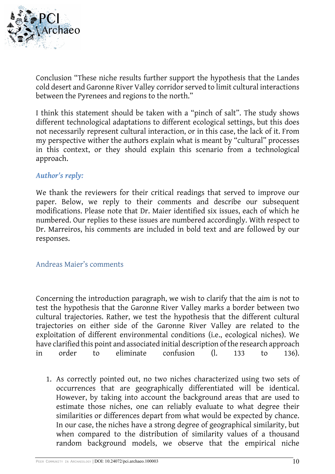

Conclusion "These niche results further support the hypothesis that the Landes cold desert and Garonne River Valley corridor served to limit cultural interactions between the Pyrenees and regions to the north."

I think this statement should be taken with a "pinch of salt". The study shows different technological adaptations to different ecological settings, but this does not necessarily represent cultural interaction, or in this case, the lack of it. From my perspective wither the authors explain what is meant by "cultural" processes in this context, or they should explain this scenario from a technological approach.

### *Author's reply:*

We thank the reviewers for their critical readings that served to improve our paper. Below, we reply to their comments and describe our subsequent modifications. Please note that Dr. Maier identified six issues, each of which he numbered. Our replies to these issues are numbered accordingly. With respect to Dr. Marreiros, his comments are included in bold text and are followed by our responses.

#### Andreas Maier's comments

Concerning the introduction paragraph, we wish to clarify that the aim is not to test the hypothesis that the Garonne River Valley marks a border between two cultural trajectories. Rather, we test the hypothesis that the different cultural trajectories on either side of the Garonne River Valley are related to the exploitation of different environmental conditions (i.e., ecological niches). We have clarified this point and associated initial description of the research approach in order to eliminate confusion (l. 133 to 136).

1. As correctly pointed out, no two niches characterized using two sets of occurrences that are geographically differentiated will be identical. However, by taking into account the background areas that are used to estimate those niches, one can reliably evaluate to what degree their similarities or differences depart from what would be expected by chance. In our case, the niches have a strong degree of geographical similarity, but when compared to the distribution of similarity values of a thousand random background models, we observe that the empirical niche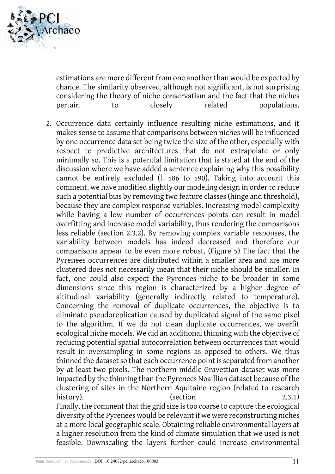

estimations are more different from one another than would be expected by chance. The similarity observed, although not significant, is not surprising considering the theory of niche conservatism and the fact that the niches pertain to closely related populations.

2. Occurrence data certainly influence resulting niche estimations, and it makes sense to assume that comparisons between niches will be influenced by one occurrence data set being twice the size of the other, especially with respect to predictive architectures that do not extrapolate or only minimally so. This is a potential limitation that is stated at the end of the discussion where we have added a sentence explaining why this possibility cannot be entirely excluded (l. 586 to 590). Taking into account this comment, we have modified slightly our modeling design in order to reduce such a potential bias by removing two feature classes (hinge and threshold), because they are complex response variables. Increasing model complexity while having a low number of occurrences points can result in model overfitting and increase model variability, thus rendering the comparisons less reliable (section 2.3.2). By removing complex variable responses, the variability between models has indeed decreased and therefore our comparisons appear to be even more robust. (Figure 5) The fact that the Pyrenees occurrences are distributed within a smaller area and are more clustered does not necessarily mean that their niche should be smaller. In fact, one could also expect the Pyrenees niche to be broader in some dimensions since this region is characterized by a higher degree of altitudinal variability (generally indirectly related to temperature). Concerning the removal of duplicate occurrences, the objective is to eliminate pseudoreplication caused by duplicated signal of the same pixel to the algorithm. If we do not clean duplicate occurrences, we overfit ecological niche models. We did an additional thinning with the objective of reducing potential spatial autocorrelation between occurrences that would result in oversampling in some regions as opposed to others. We thus thinned the dataset so that each occurrence point is separated from another by at least two pixels. The northern middle Gravettian dataset was more impacted by the thinning than the Pyrenees Noaillian dataset because of the clustering of sites in the Northern Aquitaine region (related to research history). (section (section 2.3.1) Finally, the comment that the grid size is too coarse to capture the ecological diversity of the Pyrenees would be relevant if we were reconstructing niches at a more local geographic scale. Obtaining reliable environmental layers at a higher resolution from the kind of climate simulation that we used is not feasible. Downscaling the layers further could increase environmental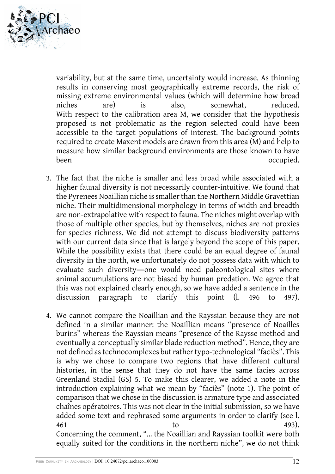

variability, but at the same time, uncertainty would increase. As thinning results in conserving most geographically extreme records, the risk of missing extreme environmental values (which will determine how broad niches are) is also, somewhat, reduced. With respect to the calibration area M, we consider that the hypothesis proposed is not problematic as the region selected could have been accessible to the target populations of interest. The background points required to create Maxent models are drawn from this area (M) and help to measure how similar background environments are those known to have been occupied.

- 3. The fact that the niche is smaller and less broad while associated with a higher faunal diversity is not necessarily counter-intuitive. We found that the Pyrenees Noaillian niche is smaller than the Northern Middle Gravettian niche. Their multidimensional morphology in terms of width and breadth are non-extrapolative with respect to fauna. The niches might overlap with those of multiple other species, but by themselves, niches are not proxies for species richness. We did not attempt to discuss biodiversity patterns with our current data since that is largely beyond the scope of this paper. While the possibility exists that there could be an equal degree of faunal diversity in the north, we unfortunately do not possess data with which to evaluate such diversity―one would need paleontological sites where animal accumulations are not biased by human predation. We agree that this was not explained clearly enough, so we have added a sentence in the discussion paragraph to clarify this point (l. 496 to 497).
- 4. We cannot compare the Noaillian and the Rayssian because they are not defined in a similar manner: the Noaillian means "presence of Noailles burins" whereas the Rayssian means "presence of the Raysse method and eventually a conceptually similar blade reduction method". Hence, they are not defined as technocomplexes but rather typo-technological "faciès". This is why we chose to compare two regions that have different cultural histories, in the sense that they do not have the same facies across Greenland Stadial (GS) 5. To make this clearer, we added a note in the introduction explaining what we mean by "faciès" (note 1). The point of comparison that we chose in the discussion is armature type and associated chaînes opératoires. This was not clear in the initial submission, so we have added some text and rephrased some arguments in order to clarify (see l. 461 to to 493). Concerning the comment, "… the Noaillian and Rayssian toolkit were both equally suited for the conditions in the northern niche", we do not think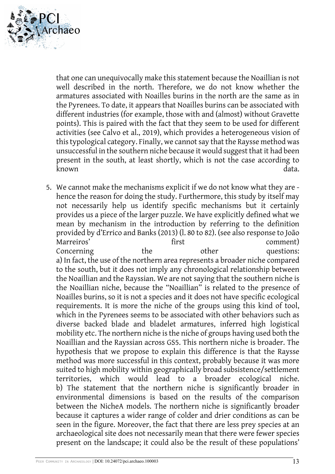

that one can unequivocally make this statement because the Noaillian is not well described in the north. Therefore, we do not know whether the armatures associated with Noailles burins in the north are the same as in the Pyrenees. To date, it appears that Noailles burins can be associated with different industries (for example, those with and (almost) without Gravette points). This is paired with the fact that they seem to be used for different activities (see Calvo et al., 2019), which provides a heterogeneous vision of this typological category. Finally, we cannot say that the Raysse method was unsuccessful in the southern niche because it would suggest that it had been present in the south, at least shortly, which is not the case according to known data.

5. We cannot make the mechanisms explicit if we do not know what they are hence the reason for doing the study. Furthermore, this study by itself may not necessarily help us identify specific mechanisms but it certainly provides us a piece of the larger puzzle. We have explicitly defined what we mean by mechanism in the introduction by referring to the definition provided by d'Errico and Banks (2013) (l. 80 to 82). (see also response to João Marreiros' first comment) Concerning the other questions: a) In fact, the use of the northern area represents a broader niche compared to the south, but it does not imply any chronological relationship between the Noaillian and the Rayssian. We are not saying that the southern niche is the Noaillian niche, because the "Noaillian" is related to the presence of Noailles burins, so it is not a species and it does not have specific ecological requirements. It is more the niche of the groups using this kind of tool, which in the Pyrenees seems to be associated with other behaviors such as diverse backed blade and bladelet armatures, inferred high logistical mobility etc. The northern niche is the niche of groups having used both the Noaillian and the Rayssian across GS5. This northern niche is broader. The hypothesis that we propose to explain this difference is that the Raysse method was more successful in this context, probably because it was more suited to high mobility within geographically broad subsistence/settlement territories, which would lead to a broader ecological niche. b) The statement that the northern niche is significantly broader in environmental dimensions is based on the results of the comparison between the NicheA models. The northern niche is significantly broader because it captures a wider range of colder and drier conditions as can be seen in the figure. Moreover, the fact that there are less prey species at an archaeological site does not necessarily mean that there were fewer species present on the landscape; it could also be the result of these populations'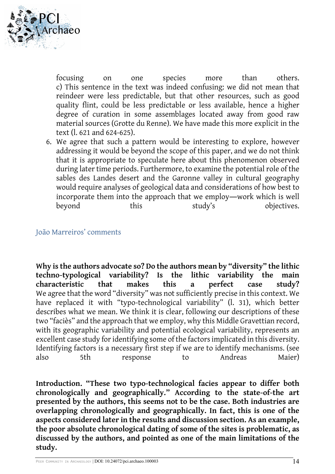

focusing on one species more than others. c) This sentence in the text was indeed confusing: we did not mean that reindeer were less predictable, but that other resources, such as good quality flint, could be less predictable or less available, hence a higher degree of curation in some assemblages located away from good raw material sources (Grotte du Renne). We have made this more explicit in the text (l. 621 and 624-625).

6. We agree that such a pattern would be interesting to explore, however addressing it would be beyond the scope of this paper, and we do not think that it is appropriate to speculate here about this phenomenon observed during later time periods. Furthermore, to examine the potential role of the sables des Landes desert and the Garonne valley in cultural geography would require analyses of geological data and considerations of how best to incorporate them into the approach that we employ―work which is well beyond this study's objectives.

#### João Marreiros' comments

**Why is the authors advocate so? Do the authors mean by "diversity" the lithic techno-typological variability? Is the lithic variability the main characteristic that makes this a perfect case study?** We agree that the word "diversity" was not sufficiently precise in this context. We have replaced it with "typo-technological variability" (l. 31), which better describes what we mean. We think it is clear, following our descriptions of these two "faciès" and the approach that we employ, why this Middle Gravettian record, with its geographic variability and potential ecological variability, represents an excellent case study for identifying some of the factors implicated in this diversity. Identifying factors is a necessary first step if we are to identify mechanisms. (see also 5th response to Andreas Maier)

**Introduction. "These two typo-technological facies appear to differ both chronologically and geographically." According to the state-of-the art presented by the authors, this seems not to be the case. Both industries are overlapping chronologically and geographically. In fact, this is one of the aspects considered later in the results and discussion section. As an example, the poor absolute chronological dating of some of the sites is problematic, as discussed by the authors, and pointed as one of the main limitations of the study.**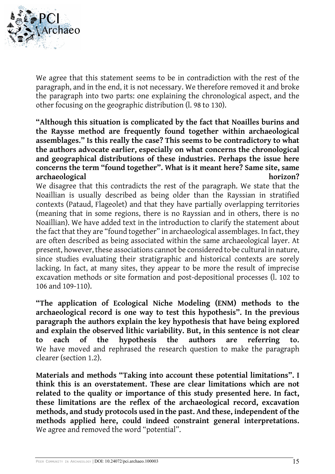

We agree that this statement seems to be in contradiction with the rest of the paragraph, and in the end, it is not necessary. We therefore removed it and broke the paragraph into two parts: one explaining the chronological aspect, and the other focusing on the geographic distribution (l. 98 to 130).

**"Although this situation is complicated by the fact that Noailles burins and the Raysse method are frequently found together within archaeological assemblages." Is this really the case? This seems to be contradictory to what the authors advocate earlier, especially on what concerns the chronological and geographical distributions of these industries. Perhaps the issue here concerns the term "found together". What is it meant here? Same site, same archaeological** horizon?

We disagree that this contradicts the rest of the paragraph. We state that the Noaillian is usually described as being older than the Rayssian in stratified contexts (Pataud, Flageolet) and that they have partially overlapping territories (meaning that in some regions, there is no Rayssian and in others, there is no Noaillian). We have added text in the introduction to clarify the statement about the fact that they are "found together" in archaeological assemblages. In fact, they are often described as being associated within the same archaeological layer. At present, however, these associations cannot be considered to be cultural in nature, since studies evaluating their stratigraphic and historical contexts are sorely lacking. In fact, at many sites, they appear to be more the result of imprecise excavation methods or site formation and post-depositional processes (l. 102 to 106 and 109-110).

**"The application of Ecological Niche Modeling (ENM) methods to the archaeological record is one way to test this hypothesis". In the previous paragraph the authors explain the key hypothesis that have being explored and explain the observed lithic variability. But, in this sentence is not clear to each of the hypothesis the authors are referring to.** We have moved and rephrased the research question to make the paragraph clearer (section 1.2).

**Materials and methods "Taking into account these potential limitations". I think this is an overstatement. These are clear limitations which are not related to the quality or importance of this study presented here. In fact, these limitations are the reflex of the archaeological record, excavation methods, and study protocols used in the past. And these, independent of the methods applied here, could indeed constraint general interpretations.** We agree and removed the word "potential".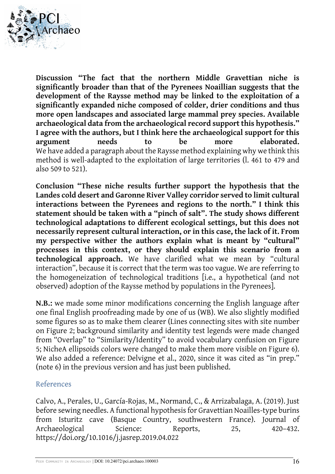

**Discussion "The fact that the northern Middle Gravettian niche is significantly broader than that of the Pyrenees Noaillian suggests that the development of the Raysse method may be linked to the exploitation of a significantly expanded niche composed of colder, drier conditions and thus more open landscapes and associated large mammal prey species. Available archaeological data from the archaeological record support this hypothesis." I agree with the authors, but I think here the archaeological support for this argument needs to be more elaborated.** We have added a paragraph about the Raysse method explaining why we think this method is well-adapted to the exploitation of large territories (l. 461 to 479 and also 509 to 521).

**Conclusion "These niche results further support the hypothesis that the Landes cold desert and Garonne River Valley corridor served to limit cultural interactions between the Pyrenees and regions to the north." I think this statement should be taken with a "pinch of salt". The study shows different technological adaptations to different ecological settings, but this does not necessarily represent cultural interaction, or in this case, the lack of it. From my perspective wither the authors explain what is meant by "cultural" processes in this context, or they should explain this scenario from a technological approach.** We have clarified what we mean by "cultural interaction", because it is correct that the term was too vague. We are referring to the homogeneization of technological traditions [i.e., a hypothetical (and not observed) adoption of the Raysse method by populations in the Pyrenees].

**N.B.:** we made some minor modifications concerning the English language after one final English proofreading made by one of us (WB). We also slightly modified some figures so as to make them clearer (Lines connecting sites with site number on Figure 2; background similarity and identity test legends were made changed from "Overlap" to "Similarity/Identity" to avoid vocabulary confusion on Figure 5; NicheA ellipsoids colors were changed to make them more visible on Figure 6). We also added a reference: Delvigne et al., 2020, since it was cited as "in prep." (note 6) in the previous version and has just been published.

#### References

Calvo, A., Perales, U., García-Rojas, M., Normand, C., & Arrizabalaga, A. (2019). Just before sewing needles. A functional hypothesis for Gravettian Noailles-type burins from Isturitz cave (Basque Country, southwestern France). Journal of Archaeological Science: Reports, 25, 420-432. https://doi.org/10.1016/j.jasrep.2019.04.022